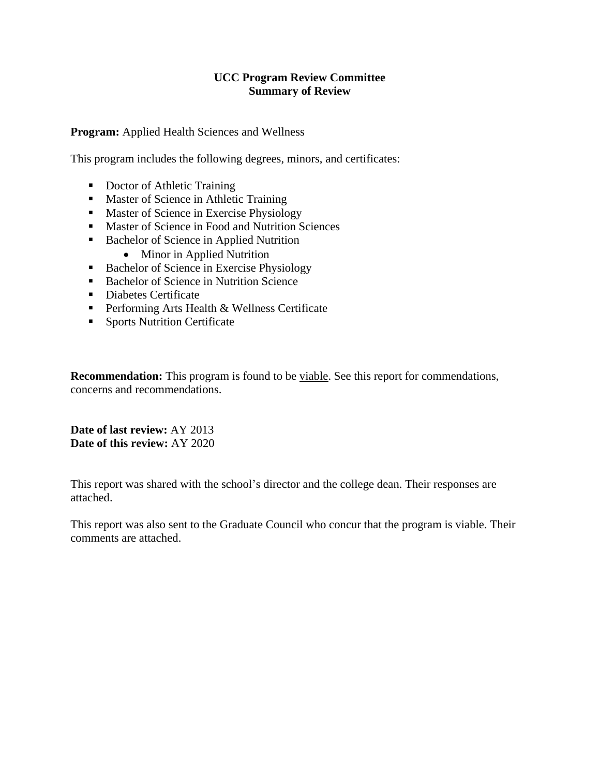### **UCC Program Review Committee Summary of Review**

#### **Program:** Applied Health Sciences and Wellness

This program includes the following degrees, minors, and certificates:

- Doctor of Athletic Training
- Master of Science in Athletic Training
- Master of Science in Exercise Physiology
- Master of Science in Food and Nutrition Sciences
- Bachelor of Science in Applied Nutrition
	- Minor in Applied Nutrition
- Bachelor of Science in Exercise Physiology
- Bachelor of Science in Nutrition Science
- Diabetes Certificate
- Performing Arts Health & Wellness Certificate
- Sports Nutrition Certificate

**Recommendation:** This program is found to be viable. See this report for commendations, concerns and recommendations.

**Date of last review:** AY 2013 **Date of this review:** AY 2020

This report was shared with the school's director and the college dean. Their responses are attached.

This report was also sent to the Graduate Council who concur that the program is viable. Their comments are attached.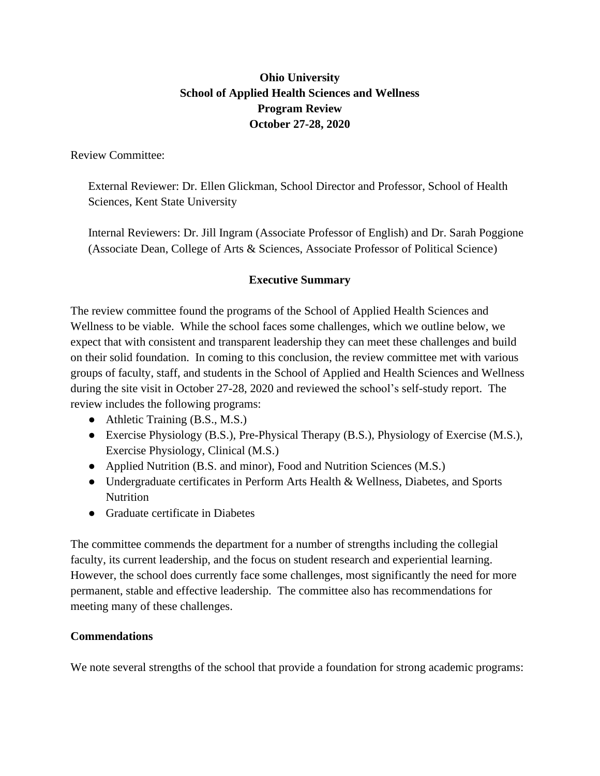# **Ohio University School of Applied Health Sciences and Wellness Program Review October 27-28, 2020**

Review Committee:

External Reviewer: Dr. Ellen Glickman, School Director and Professor, School of Health Sciences, Kent State University

Internal Reviewers: Dr. Jill Ingram (Associate Professor of English) and Dr. Sarah Poggione (Associate Dean, College of Arts & Sciences, Associate Professor of Political Science)

# **Executive Summary**

The review committee found the programs of the School of Applied Health Sciences and Wellness to be viable. While the school faces some challenges, which we outline below, we expect that with consistent and transparent leadership they can meet these challenges and build on their solid foundation. In coming to this conclusion, the review committee met with various groups of faculty, staff, and students in the School of Applied and Health Sciences and Wellness during the site visit in October 27-28, 2020 and reviewed the school's self-study report. The review includes the following programs:

- Athletic Training (B.S., M.S.)
- Exercise Physiology (B.S.), Pre-Physical Therapy (B.S.), Physiology of Exercise (M.S.), Exercise Physiology, Clinical (M.S.)
- Applied Nutrition (B.S. and minor), Food and Nutrition Sciences (M.S.)
- Undergraduate certificates in Perform Arts Health & Wellness, Diabetes, and Sports Nutrition
- Graduate certificate in Diabetes

The committee commends the department for a number of strengths including the collegial faculty, its current leadership, and the focus on student research and experiential learning. However, the school does currently face some challenges, most significantly the need for more permanent, stable and effective leadership. The committee also has recommendations for meeting many of these challenges.

### **Commendations**

We note several strengths of the school that provide a foundation for strong academic programs: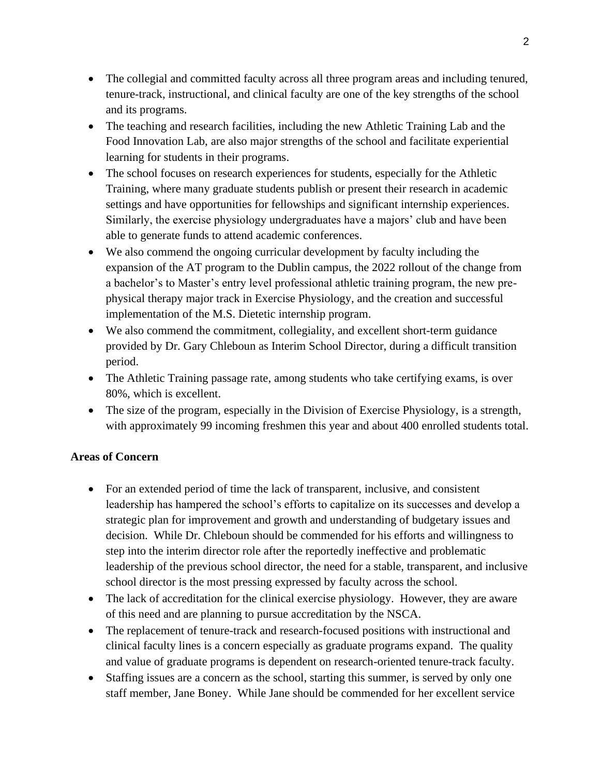- The collegial and committed faculty across all three program areas and including tenured, tenure-track, instructional, and clinical faculty are one of the key strengths of the school and its programs.
- The teaching and research facilities, including the new Athletic Training Lab and the Food Innovation Lab, are also major strengths of the school and facilitate experiential learning for students in their programs.
- The school focuses on research experiences for students, especially for the Athletic Training, where many graduate students publish or present their research in academic settings and have opportunities for fellowships and significant internship experiences. Similarly, the exercise physiology undergraduates have a majors' club and have been able to generate funds to attend academic conferences.
- We also commend the ongoing curricular development by faculty including the expansion of the AT program to the Dublin campus, the 2022 rollout of the change from a bachelor's to Master's entry level professional athletic training program, the new prephysical therapy major track in Exercise Physiology, and the creation and successful implementation of the M.S. Dietetic internship program.
- We also commend the commitment, collegiality, and excellent short-term guidance provided by Dr. Gary Chleboun as Interim School Director, during a difficult transition period.
- The Athletic Training passage rate, among students who take certifying exams, is over 80%, which is excellent.
- The size of the program, especially in the Division of Exercise Physiology, is a strength, with approximately 99 incoming freshmen this year and about 400 enrolled students total.

### **Areas of Concern**

- For an extended period of time the lack of transparent, inclusive, and consistent leadership has hampered the school's efforts to capitalize on its successes and develop a strategic plan for improvement and growth and understanding of budgetary issues and decision. While Dr. Chleboun should be commended for his efforts and willingness to step into the interim director role after the reportedly ineffective and problematic leadership of the previous school director, the need for a stable, transparent, and inclusive school director is the most pressing expressed by faculty across the school.
- The lack of accreditation for the clinical exercise physiology. However, they are aware of this need and are planning to pursue accreditation by the NSCA.
- The replacement of tenure-track and research-focused positions with instructional and clinical faculty lines is a concern especially as graduate programs expand. The quality and value of graduate programs is dependent on research-oriented tenure-track faculty.
- Staffing issues are a concern as the school, starting this summer, is served by only one staff member, Jane Boney. While Jane should be commended for her excellent service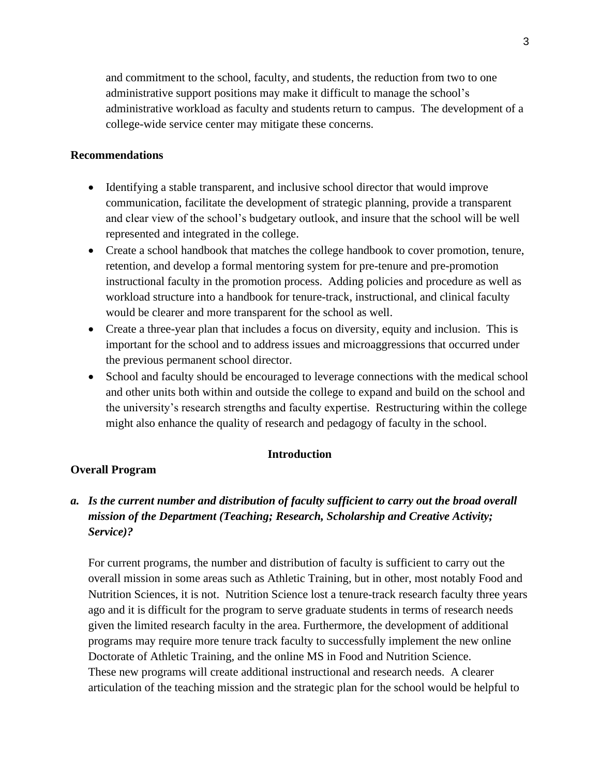and commitment to the school, faculty, and students, the reduction from two to one administrative support positions may make it difficult to manage the school's administrative workload as faculty and students return to campus. The development of a college-wide service center may mitigate these concerns.

#### **Recommendations**

- Identifying a stable transparent, and inclusive school director that would improve communication, facilitate the development of strategic planning, provide a transparent and clear view of the school's budgetary outlook, and insure that the school will be well represented and integrated in the college.
- Create a school handbook that matches the college handbook to cover promotion, tenure, retention, and develop a formal mentoring system for pre-tenure and pre-promotion instructional faculty in the promotion process. Adding policies and procedure as well as workload structure into a handbook for tenure-track, instructional, and clinical faculty would be clearer and more transparent for the school as well.
- Create a three-year plan that includes a focus on diversity, equity and inclusion. This is important for the school and to address issues and microaggressions that occurred under the previous permanent school director.
- School and faculty should be encouraged to leverage connections with the medical school and other units both within and outside the college to expand and build on the school and the university's research strengths and faculty expertise. Restructuring within the college might also enhance the quality of research and pedagogy of faculty in the school.

### **Introduction**

#### **Overall Program**

# *a. Is the current number and distribution of faculty sufficient to carry out the broad overall mission of the Department (Teaching; Research, Scholarship and Creative Activity; Service)?*

For current programs, the number and distribution of faculty is sufficient to carry out the overall mission in some areas such as Athletic Training, but in other, most notably Food and Nutrition Sciences, it is not. Nutrition Science lost a tenure-track research faculty three years ago and it is difficult for the program to serve graduate students in terms of research needs given the limited research faculty in the area. Furthermore, the development of additional programs may require more tenure track faculty to successfully implement the new online Doctorate of Athletic Training, and the online MS in Food and Nutrition Science. These new programs will create additional instructional and research needs. A clearer articulation of the teaching mission and the strategic plan for the school would be helpful to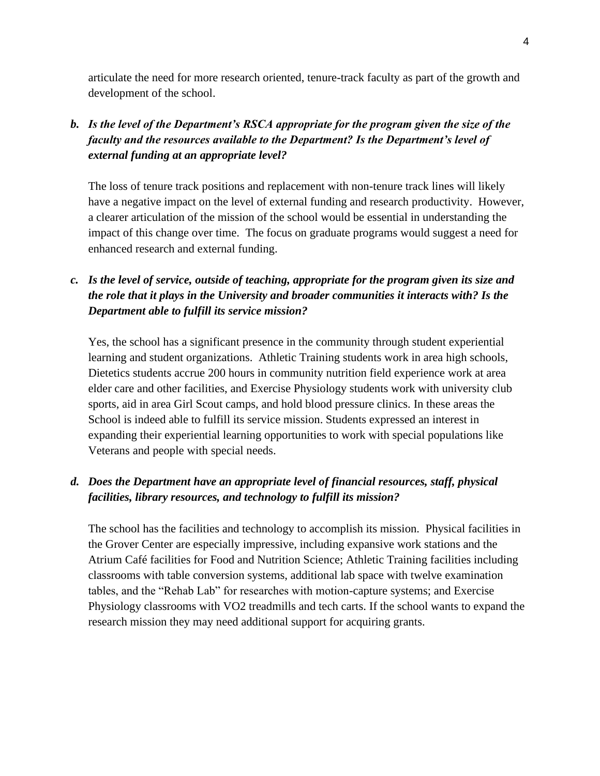articulate the need for more research oriented, tenure-track faculty as part of the growth and development of the school.

*b. Is the level of the Department's RSCA appropriate for the program given the size of the faculty and the resources available to the Department? Is the Department's level of external funding at an appropriate level?* 

The loss of tenure track positions and replacement with non-tenure track lines will likely have a negative impact on the level of external funding and research productivity. However, a clearer articulation of the mission of the school would be essential in understanding the impact of this change over time. The focus on graduate programs would suggest a need for enhanced research and external funding.

# *c. Is the level of service, outside of teaching, appropriate for the program given its size and the role that it plays in the University and broader communities it interacts with? Is the Department able to fulfill its service mission?*

Yes, the school has a significant presence in the community through student experiential learning and student organizations. Athletic Training students work in area high schools, Dietetics students accrue 200 hours in community nutrition field experience work at area elder care and other facilities, and Exercise Physiology students work with university club sports, aid in area Girl Scout camps, and hold blood pressure clinics. In these areas the School is indeed able to fulfill its service mission. Students expressed an interest in expanding their experiential learning opportunities to work with special populations like Veterans and people with special needs.

# *d. Does the Department have an appropriate level of financial resources, staff, physical facilities, library resources, and technology to fulfill its mission?*

The school has the facilities and technology to accomplish its mission. Physical facilities in the Grover Center are especially impressive, including expansive work stations and the Atrium Café facilities for Food and Nutrition Science; Athletic Training facilities including classrooms with table conversion systems, additional lab space with twelve examination tables, and the "Rehab Lab" for researches with motion-capture systems; and Exercise Physiology classrooms with VO2 treadmills and tech carts. If the school wants to expand the research mission they may need additional support for acquiring grants.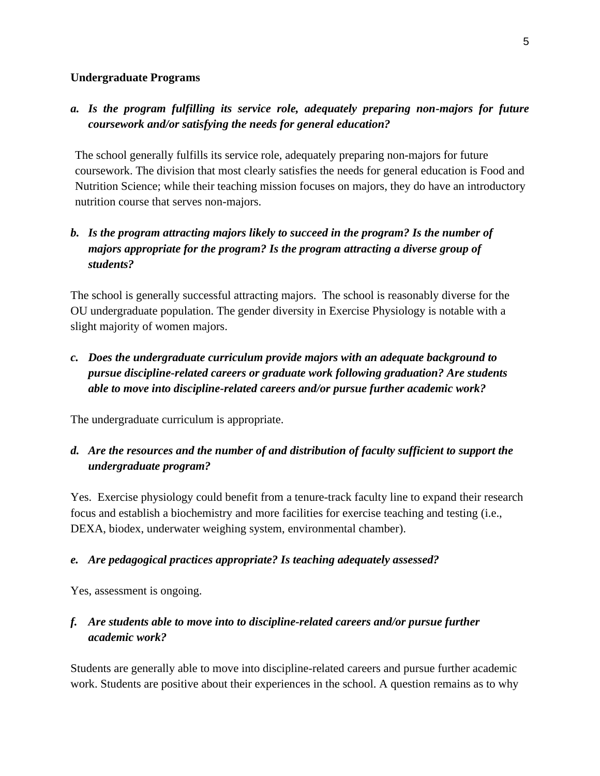### **Undergraduate Programs**

*a. Is the program fulfilling its service role, adequately preparing non-majors for future coursework and/or satisfying the needs for general education?*

The school generally fulfills its service role, adequately preparing non-majors for future coursework. The division that most clearly satisfies the needs for general education is Food and Nutrition Science; while their teaching mission focuses on majors, they do have an introductory nutrition course that serves non-majors.

# *b. Is the program attracting majors likely to succeed in the program? Is the number of majors appropriate for the program? Is the program attracting a diverse group of students?*

The school is generally successful attracting majors. The school is reasonably diverse for the OU undergraduate population. The gender diversity in Exercise Physiology is notable with a slight majority of women majors.

*c. Does the undergraduate curriculum provide majors with an adequate background to pursue discipline-related careers or graduate work following graduation? Are students able to move into discipline-related careers and/or pursue further academic work?* 

The undergraduate curriculum is appropriate.

# *d. Are the resources and the number of and distribution of faculty sufficient to support the undergraduate program?*

Yes. Exercise physiology could benefit from a tenure-track faculty line to expand their research focus and establish a biochemistry and more facilities for exercise teaching and testing (i.e., DEXA, biodex, underwater weighing system, environmental chamber).

### *e. Are pedagogical practices appropriate? Is teaching adequately assessed?*

Yes, assessment is ongoing.

# *f. Are students able to move into to discipline-related careers and/or pursue further academic work?*

Students are generally able to move into discipline-related careers and pursue further academic work. Students are positive about their experiences in the school. A question remains as to why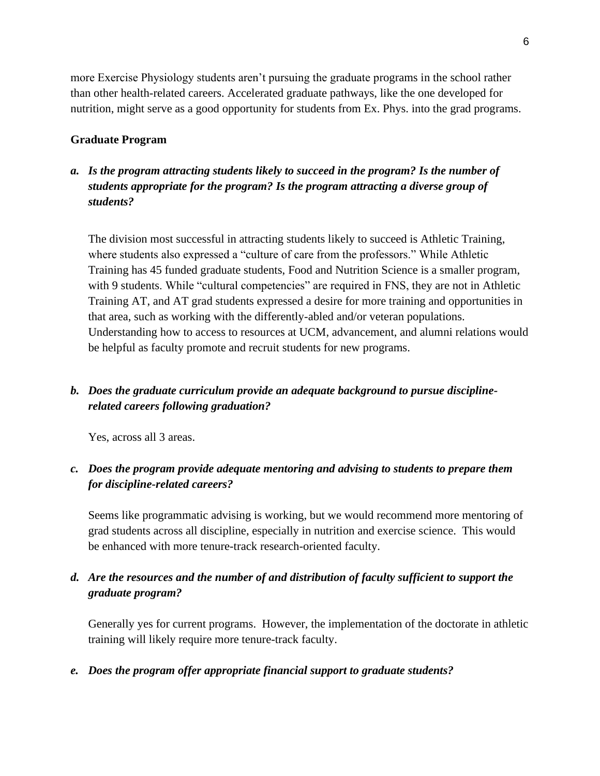more Exercise Physiology students aren't pursuing the graduate programs in the school rather than other health-related careers. Accelerated graduate pathways, like the one developed for nutrition, might serve as a good opportunity for students from Ex. Phys. into the grad programs.

#### **Graduate Program**

# *a. Is the program attracting students likely to succeed in the program? Is the number of students appropriate for the program? Is the program attracting a diverse group of students?*

The division most successful in attracting students likely to succeed is Athletic Training, where students also expressed a "culture of care from the professors." While Athletic Training has 45 funded graduate students, Food and Nutrition Science is a smaller program, with 9 students. While "cultural competencies" are required in FNS, they are not in Athletic Training AT, and AT grad students expressed a desire for more training and opportunities in that area, such as working with the differently-abled and/or veteran populations. Understanding how to access to resources at UCM, advancement, and alumni relations would be helpful as faculty promote and recruit students for new programs.

# *b. Does the graduate curriculum provide an adequate background to pursue disciplinerelated careers following graduation?*

Yes, across all 3 areas.

## *c. Does the program provide adequate mentoring and advising to students to prepare them for discipline-related careers?*

Seems like programmatic advising is working, but we would recommend more mentoring of grad students across all discipline, especially in nutrition and exercise science. This would be enhanced with more tenure-track research-oriented faculty.

# *d. Are the resources and the number of and distribution of faculty sufficient to support the graduate program?*

Generally yes for current programs. However, the implementation of the doctorate in athletic training will likely require more tenure-track faculty.

### *e. Does the program offer appropriate financial support to graduate students?*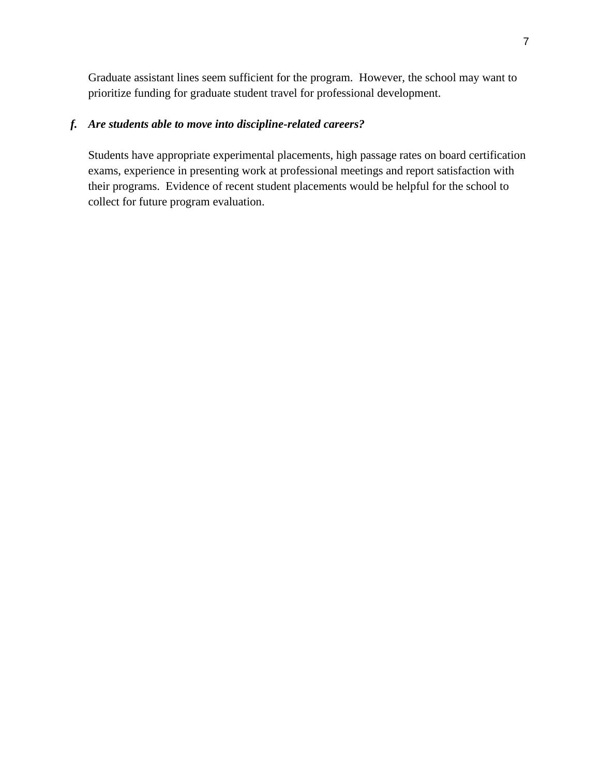Graduate assistant lines seem sufficient for the program. However, the school may want to prioritize funding for graduate student travel for professional development.

# *f. Are students able to move into discipline-related careers?*

Students have appropriate experimental placements, high passage rates on board certification exams, experience in presenting work at professional meetings and report satisfaction with their programs. Evidence of recent student placements would be helpful for the school to collect for future program evaluation.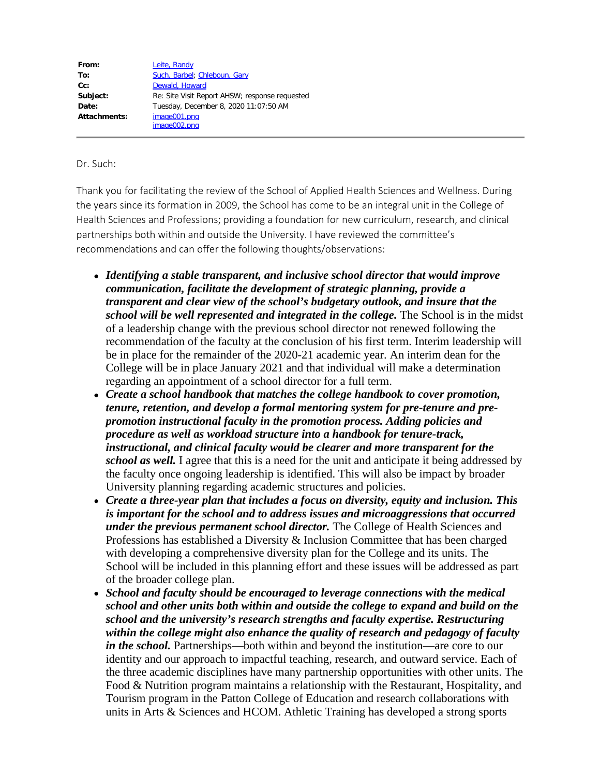| Leite, Randy                                   |
|------------------------------------------------|
| Such, Barbel; Chleboun, Gary                   |
| Dewald, Howard                                 |
| Re: Site Visit Report AHSW; response requested |
| Tuesday, December 8, 2020 11:07:50 AM          |
| image001.png<br>image002.png                   |
|                                                |

#### Dr. Such:

Thank you for facilitating the review of the School of Applied Health Sciences and Wellness. During the years since its formation in 2009, the School has come to be an integral unit in the College of Health Sciences and Professions; providing a foundation for new curriculum, research, and clinical partnerships both within and outside the University. I have reviewed the committee's recommendations and can offer the following thoughts/observations:

- *Identifying a stable transparent, and inclusive school director that would improve communication, facilitate the development of strategic planning, provide a transparent and clear view of the school's budgetary outlook, and insure that the school will be well represented and integrated in the college.* The School is in the midst of a leadership change with the previous school director not renewed following the recommendation of the faculty at the conclusion of his first term. Interim leadership will be in place for the remainder of the 2020-21 academic year. An interim dean for the College will be in place January 2021 and that individual will make a determination regarding an appointment of a school director for a full term.
- *Create a school handbook that matches the college handbook to cover promotion, tenure, retention, and develop a formal mentoring system for pre-tenure and prepromotion instructional faculty in the promotion process. Adding policies and procedure as well as workload structure into a handbook for tenure-track, instructional, and clinical faculty would be clearer and more transparent for the school as well.* I agree that this is a need for the unit and anticipate it being addressed by the faculty once ongoing leadership is identified. This will also be impact by broader University planning regarding academic structures and policies.
- *Create a three-year plan that includes a focus on diversity, equity and inclusion. This is important for the school and to address issues and microaggressions that occurred under the previous permanent school director.* The College of Health Sciences and Professions has established a Diversity & Inclusion Committee that has been charged with developing a comprehensive diversity plan for the College and its units. The School will be included in this planning effort and these issues will be addressed as part of the broader college plan.
- *School and faculty should be encouraged to leverage connections with the medical school and other units both within and outside the college to expand and build on the school and the university's research strengths and faculty expertise. Restructuring within the college might also enhance the quality of research and pedagogy of faculty in the school.* Partnerships—both within and beyond the institution—are core to our identity and our approach to impactful teaching, research, and outward service. Each of the three academic disciplines have many partnership opportunities with other units. The Food & Nutrition program maintains a relationship with the Restaurant, Hospitality, and Tourism program in the Patton College of Education and research collaborations with units in Arts & Sciences and HCOM. Athletic Training has developed a strong sports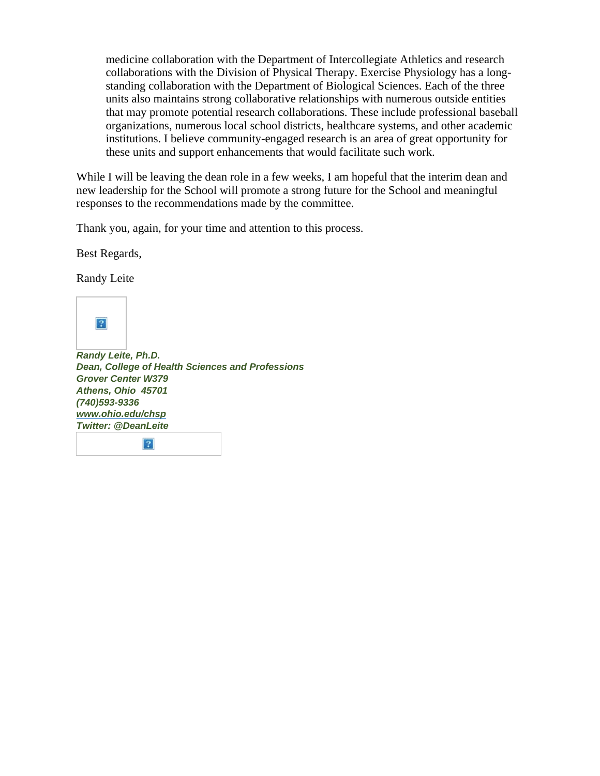medicine collaboration with the Department of Intercollegiate Athletics and research collaborations with the Division of Physical Therapy. Exercise Physiology has a longstanding collaboration with the Department of Biological Sciences. Each of the three units also maintains strong collaborative relationships with numerous outside entities that may promote potential research collaborations. These include professional baseball organizations, numerous local school districts, healthcare systems, and other academic institutions. I believe community-engaged research is an area of great opportunity for these units and support enhancements that would facilitate such work.

While I will be leaving the dean role in a few weeks, I am hopeful that the interim dean and new leadership for the School will promote a strong future for the School and meaningful responses to the recommendations made by the committee.

Thank you, again, for your time and attention to this process.

Best Regards,

Randy Leite



*Randy Leite, Ph.D. Dean, College of Health Sciences and Professions Grover Center W379 Athens, Ohio 45701 (740)593-9336 [www.ohio.edu/chsp](http://www.ohio.edu/chsp) Twitter: @DeanLeite* $\overline{?}$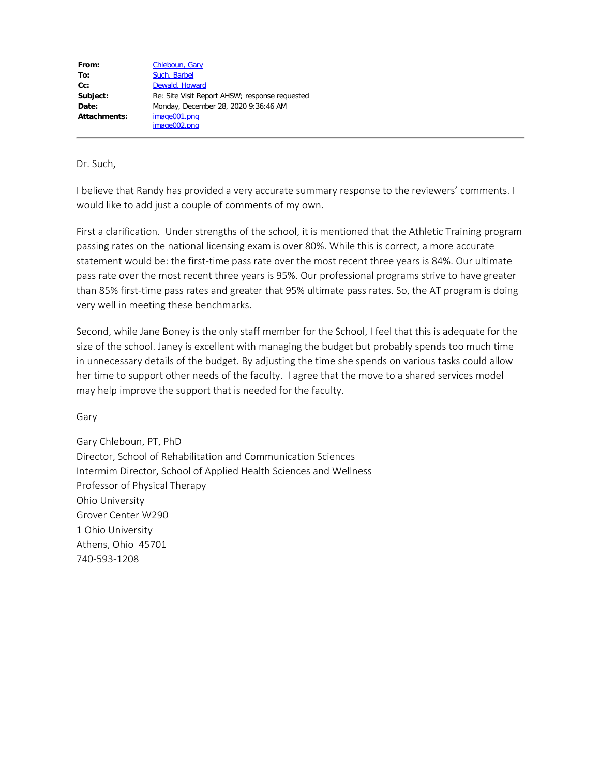| From:        | Chleboun, Gary                                 |
|--------------|------------------------------------------------|
| To:          | Such, Barbel                                   |
| $Cc$ :       | Dewald, Howard                                 |
| Subject:     | Re: Site Visit Report AHSW; response requested |
| Date:        | Monday, December 28, 2020 9:36:46 AM           |
| Attachments: | image001.png                                   |
|              | image002.png                                   |

Dr. Such,

I believe that Randy has provided a very accurate summary response to the reviewers' comments. I would like to add just a couple of comments of my own.

First a clarification. Under strengths of the school, it is mentioned that the Athletic Training program passing rates on the national licensing exam is over 80%. While this is correct, a more accurate statement would be: the first-time pass rate over the most recent three years is 84%. Our ultimate pass rate over the most recent three years is 95%. Our professional programs strive to have greater than 85% first-time pass rates and greater that 95% ultimate pass rates. So, the AT program is doing very well in meeting these benchmarks.

Second, while Jane Boney is the only staff member for the School, I feel that this is adequate for the size of the school. Janey is excellent with managing the budget but probably spends too much time in unnecessary details of the budget. By adjusting the time she spends on various tasks could allow her time to support other needs of the faculty. I agree that the move to a shared services model may help improve the support that is needed for the faculty.

Gary

Gary Chleboun, PT, PhD Director, School of Rehabilitation and Communication Sciences Intermim Director, School of Applied Health Sciences and Wellness Professor of Physical Therapy Ohio University Grover Center W290 1 Ohio University Athens, Ohio 45701 740-593-1208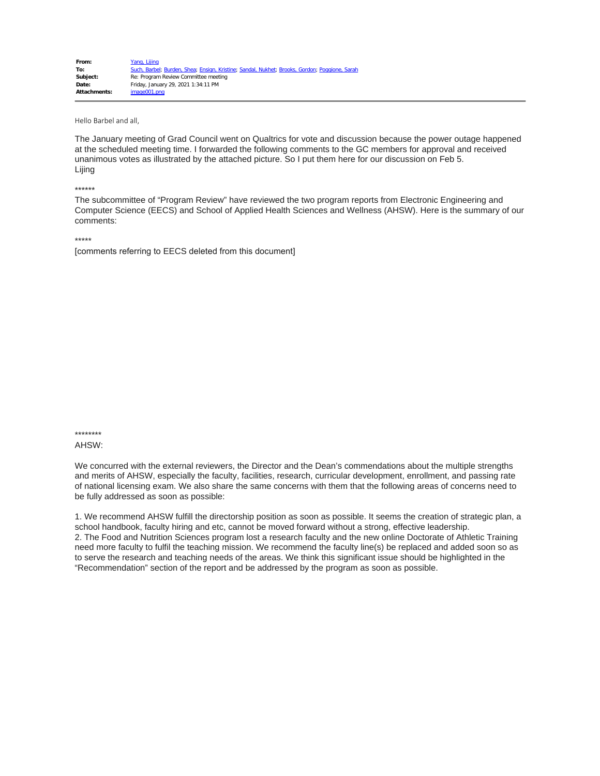Hello Barbel and all,

The January meeting of Grad Council went on Qualtrics for vote and discussion because the power outage happened at the scheduled meeting time. I forwarded the following comments to the GC members for approval and received unanimous votes as illustrated by the attached picture. So I put them here for our discussion on Feb 5. Lijing

\*\*\*\*\*\*

The subcommittee of "Program Review" have reviewed the two program reports from Electronic Engineering and Computer Science (EECS) and School of Applied Health Sciences and Wellness (AHSW). Here is the summary of our comments:

\*\*\*\*\*

[comments referring to EECS deleted from this document]

\*\*\*\*\*\*\*\*

#### AHSW:

We concurred with the external reviewers, the Director and the Dean's commendations about the multiple strengths and merits of AHSW, especially the faculty, facilities, research, curricular development, enrollment, and passing rate of national licensing exam. We also share the same concerns with them that the following areas of concerns need to be fully addressed as soon as possible:

1. We recommend AHSW fulfill the directorship position as soon as possible. It seems the creation of strategic plan, a school handbook, faculty hiring and etc, cannot be moved forward without a strong, effective leadership. 2. The Food and Nutrition Sciences program lost a research faculty and the new online Doctorate of Athletic Training need more faculty to fulfil the teaching mission. We recommend the faculty line(s) be replaced and added soon so as to serve the research and teaching needs of the areas. We think this significant issue should be highlighted in the "Recommendation" section of the report and be addressed by the program as soon as possible.